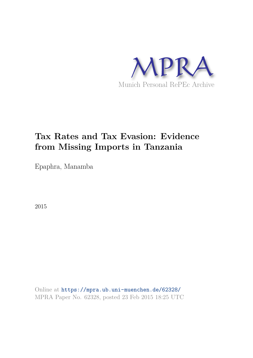

# **Tax Rates and Tax Evasion: Evidence from Missing Imports in Tanzania**

Epaphra, Manamba

2015

Online at https://mpra.ub.uni-muenchen.de/62328/ MPRA Paper No. 62328, posted 23 Feb 2015 18:25 UTC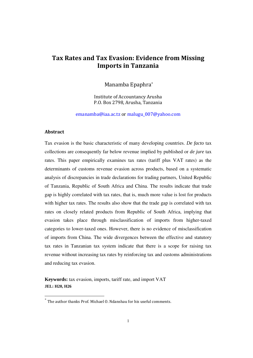# **Tax Rates and Tax Evasion: Evidence from Missing Imports in Tanzania**

Manamba Epaphra\*

Institute of Accountancy Arusha P.O. Box 2798, Arusha, Tanzania

emanamba@iaa.ac.tz or malugu\_007@yahoo.com

### **Abstract**

l

Tax evasion is the basic characteristic of many developing countries. *De facto* tax collections are consequently far below revenue implied by published or *de jure* tax rates. This paper empirically examines tax rates (tariff plus VAT rates) as the determinants of customs revenue evasion across products, based on a systematic analysis of discrepancies in trade declarations for trading partners, United Republic of Tanzania, Republic of South Africa and China. The results indicate that trade gap is highly correlated with tax rates, that is, much more value is lost for products with higher tax rates. The results also show that the trade gap is correlated with tax rates on closely related products from Republic of South Africa, implying that evasion takes place through misclassification of imports from higher-taxed categories to lower-taxed ones. However, there is no evidence of misclassification of imports from China. The wide divergences between the effective and statutory tax rates in Tanzanian tax system indicate that there is a scope for raising tax revenue without increasing tax rates by reinforcing tax and customs administrations and reducing tax evasion.

**Keywords:** tax evasion, imports, tariff rate, and import VAT **JEL: H20, H26** 

<sup>\*</sup> The author thanks Prof. Michael O. Ndanshau for his useful comments.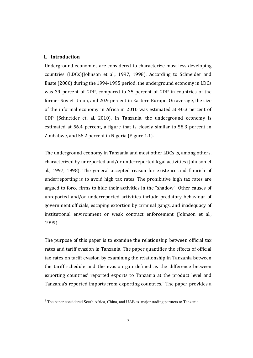# **1. Introduction**

l

Underground economies are considered to characterize most less developing countries (LDCs)(Johnson et al., 1997, 1998). According to Schneider and Enste (2000) during the 1994-1995 period, the underground economy in LDCs was 39 percent of GDP, compared to 35 percent of GDP in countries of the former Soviet Union, and 20.9 percent in Eastern Europe. On average, the size of the informal economy in Africa in 2010 was estimated at 40.3 percent of GDP (Schneider et. al, 2010). In Tanzania, the underground economy is estimated at 56.4 percent, a figure that is closely similar to 58.3 percent in Zimbabwe, and 55.2 percent in Nigeria (Figure 1.1).

The underground economy in Tanzania and most other LDCs is, among others, characterized by unreported and/or underreported legal activities (Johnson et al., 1997, 1998). The general accepted reason for existence and flourish of underreporting is to avoid high tax rates. The prohibitive high tax rates are argued to force firms to hide their activities in the "shadow". Other causes of unreported and/or underreported activities include predatory behaviour of government officials, escaping extortion by criminal gangs, and inadequacy of institutional environment or weak contract enforcement (Johnson et al., 1999).

The purpose of this paper is to examine the relationship between official tax rates and tariff evasion in Tanzania. The paper quantifies the effects of official tax rates on tariff evasion by examining the relationship in Tanzania between the tariff schedule and the evasion gap defined as the difference between exporting countries' reported exports to Tanzania at the product level and Tanzania's reported imports from exporting countries.† The paper provides a

<sup>†</sup> The paper considered South Africa, China, and UAE as major trading partners to Tanzania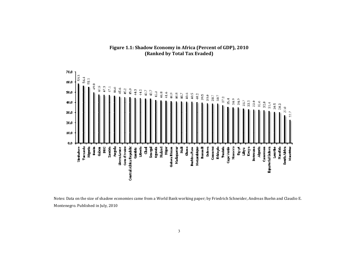

# **Figure 1.1: Shadow Economy in Africa (Percent of GDP), 2010 (Ranked by Total Tax Evaded)**

Notes: Data on the size of shadow economies came from a World Bank working paper; by Friedrich Schneider, Andreas Buehn and Claudio E. Montenegro. Published in July, 2010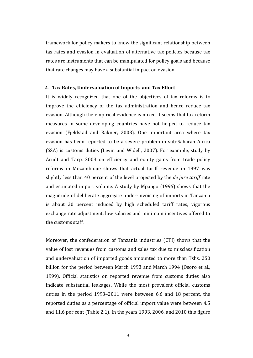framework for policy makers to know the significant relationship between tax rates and evasion in evaluation of alternative tax policies because tax rates are instruments that can be manipulated for policy goals and because that rate changes may have a substantial impact on evasion.

#### **2. Tax Rates, Undervaluation of Imports and Tax Effort**

It is widely recognized that one of the objectives of tax reforms is to improve the efficiency of the tax administration and hence reduce tax evasion. Although the empirical evidence is mixed it seems that tax reform measures in some developing countries have not helped to reduce tax evasion (Fjeldstad and Rakner, 2003). One important area where tax evasion has been reported to be a severe problem in sub-Saharan Africa (SSA) is customs duties (Levin and Widell, 2007). For example, study by Arndt and Tarp, 2003 on efficiency and equity gains from trade policy reforms in Mozambique shows that actual tariff revenue in 1997 was slightly less than 40 percent of the level projected by the *de jure tariff* rate and estimated import volume. A study by Mpango (1996) shows that the magnitude of deliberate aggregate under-invoicing of imports in Tanzania is about 20 percent induced by high scheduled tariff rates, vigorous exchange rate adjustment, low salaries and minimum incentives offered to the customs staff.

Moreover, the confederation of Tanzania industries (CTI) shows that the value of lost revenues from customs and sales tax due to misclassification and undervaluation of imported goods amounted to more than Tshs. 250 billion for the period between March 1993 and March 1994 (Osoro et al., 1999). Official statistics on reported revenue from customs duties also indicate substantial leakages. While the most prevalent official customs duties in the period 1993–2011 were between 6.6 and 18 percent, the reported duties as a percentage of official import value were between 4.5 and 11.6 per cent (Table 2.1). In the years 1993, 2006, and 2010 this figure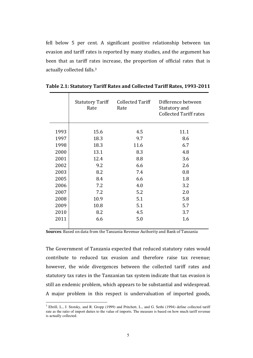fell below 5 per cent. A significant positive relationship between tax evasion and tariff rates is reported by many studies, and the argument has been that as tariff rates increase, the proportion of official rates that is actually collected falls.<sup>3</sup>

|      | <b>Statutory Tariff</b><br>Rate | Collected Tariff<br>Rate | Difference between<br>Statutory and<br><b>Collected Tariff rates</b> |
|------|---------------------------------|--------------------------|----------------------------------------------------------------------|
| 1993 | 15.6                            | 4.5                      | 11.1                                                                 |
| 1997 | 18.3                            | 9.7                      | 8.6                                                                  |
| 1998 | 18.3                            | 11.6                     | 6.7                                                                  |
| 2000 | 13.1                            | 8.3                      | 4.8                                                                  |
| 2001 | 12.4                            | 8.8                      | 3.6                                                                  |
| 2002 | 9.2                             | 6.6                      | 2.6                                                                  |
| 2003 | 8.2                             | 7.4                      | 0.8                                                                  |
| 2005 | 8.4                             | 6.6                      | 1.8                                                                  |
| 2006 | 7.2                             | 4.0                      | 3.2                                                                  |
| 2007 | 7.2                             | 5.2                      | 2.0                                                                  |
| 2008 | 10.9                            | 5.1                      | 5.8                                                                  |
| 2009 | 10.8                            | 5.1                      | 5.7                                                                  |
| 2010 | 8.2                             | 4.5                      | 3.7                                                                  |
| 2011 | 6.6                             | 5.0                      | 1.6                                                                  |
|      |                                 |                          |                                                                      |

**Table 2.1: Statutory Tariff Rates and Collected Tariff Rates, 1993-2011** 

**Sources***:* Based on data from the Tanzania Revenue Authority and Bank of Tanzania

The Government of Tanzania expected that reduced statutory rates would contribute to reduced tax evasion and therefore raise tax revenue; however, the wide divergences between the collected tariff rates and statutory tax rates in the Tanzanian tax system indicate that tax evasion is still an endemic problem, which appears to be substantial and widespread. A major problem in this respect is undervaluation of imported goods,

 $\overline{a}$ 

<sup>&</sup>lt;sup>3</sup> Ebrill, L., J. Stotsky, and R. Gropp (1999) and Pritchett, L., and G. Sethi (1994) define collected tariff rate as the ratio of import duties to the value of imports. The measure is based on how much tariff revenue is actually collected.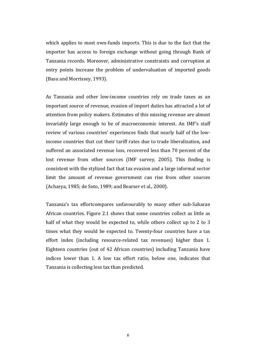which applies to most own-funds imports. This is due to the fact that the importer has access to foreign exchange without going through Bank of Tanzania records. Moreover, administrative constraints and corruption at entry points increase the problem of undervaluation of imported goods (Basu and Morrissey, 1993).

As Tanzania and other low-income countries rely on trade taxes as an important source of revenue, evasion of import duties has attracted a lot of attention from policy makers. Estimates of this missing revenue are almost invariably large enough to be of macroeconomic interest. An IMF's staff review of various countries' experiences finds that nearly half of the lowincome countries that cut their tariff rates due to trade liberalization, and suffered an associated revenue loss, recovered less than 70 percent of the lost revenue from other sources (IMF survey, 2005). This finding is consistent with the stylized fact that tax evasion and a large informal sector limit the amount of revenue government can rise from other sources (Acharya, 1985; de Soto, 1989; and Bearser et al., 2000).

Tanzania's tax effortcompares unfavourably to many other sub-Saharan African countries. Figure 2.1 shows that some countries collect as little as half of what they would be expected to, while others collect up to 2 to 3 times what they would be expected to. Twenty-four countries have a tax effort index (including resource-related tax revenues) higher than 1. Eighteen countries (out of 42 African countries) including Tanzania have indices lower than 1. A low tax effort ratio, below one, indicates that Tanzania is collecting less tax than predicted.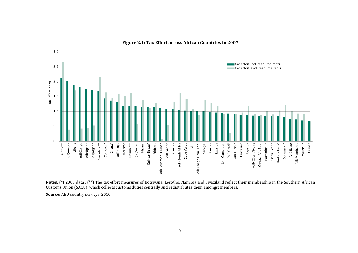

**Figure 2.1: Tax Effort across African Countries in 2007**



**Source:** AEO country surveys, 2010.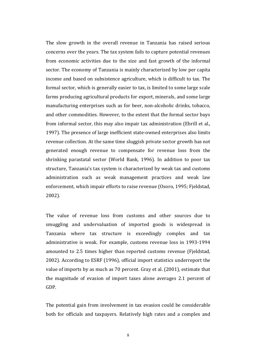The slow growth in the overall revenue in Tanzania has raised serious concerns over the years. The tax system fails to capture potential revenues from economic activities due to the size and fast growth of the informal sector. The economy of Tanzania is mainly characterized by low per capita income and based on subsistence agriculture, which is difficult to tax. The formal sector, which is generally easier to tax, is limited to some large scale farms producing agricultural products for export, minerals, and some large manufacturing enterprises such as for beer, non-alcoholic drinks, tobacco, and other commodities. However, to the extent that the formal sector buys from informal sector, this may also impair tax administration (Ebrill et al., 1997). The presence of large inefficient state-owned enterprises also limits revenue collection. At the same time sluggish private sector growth has not generated enough revenue to compensate for revenue loss from the shrinking parastatal sector (World Bank, 1996). In addition to poor tax structure, Tanzania's tax system is characterized by weak tax and customs administration such as weak management practices and weak law enforcement, which impair efforts to raise revenue (Osoro, 1995; Fjeldstad, 2002).

The value of revenue loss from customs and other sources due to smuggling and undervaluation of imported goods is widespread in Tanzania where tax structure is exceedingly complex and tax administrative is weak. For example, customs revenue loss in 1993-1994 amounted to 2.5 times higher than reported customs revenue (Fjeldstad, 2002). According to ESRF (1996), official import statistics underreport the value of imports by as much as 70 percent. Gray et al. (2001), estimate that the magnitude of evasion of import taxes alone averages 2.1 percent of GDP.

The potential gain from involvement in tax evasion could be considerable both for officials and taxpayers. Relatively high rates and a complex and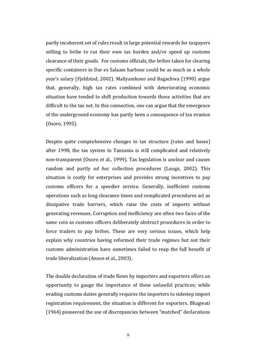partly incoherent set of rules result in large potential rewards for taxpayers willing to bribe to cut their own tax burden and/or speed up customs clearance of their goods. For customs officials, the bribes taken for clearing specific containers in Dar es Salaam harbour could be as much as a whole year's salary (Fjeldstad, 2002). Maliyamkono and Bagachwa (1990) argue that, generally, high tax rates combined with deteriorating economic situation have tended to shift production towards those activities that are difficult to the tax net. In this connection, one can argue that the emergence of the underground economy has partly been a consequence of tax evasion (Osoro, 1995).

Despite quite comprehensive changes in tax structure (rates and bases) after 1998, the tax system in Tanzania is still complicated and relatively non-transparent (Osoro et al., 1999). Tax legislation is unclear and causes random and partly *ad hoc* collection procedures (Luoga, 2002). This situation is costly for enterprises and provides strong incentives to pay customs officers for a speedier service. Generally, inefficient customs operations such as long clearance times and complicated procedures act as dissipative trade barriers, which raise the costs of imports without generating revenues. Corruption and inefficiency are often two faces of the same coin as customs officers deliberately obstruct procedures in order to force traders to pay bribes. These are very serious issues, which help explain why countries having reformed their trade regimes but not their customs administration have sometimes failed to reap the full benefit of trade liberalization (Anson et al., 2003).

The double declaration of trade flows by importers and exporters offers an opportunity to gauge the importance of these unlawful practices; while evading customs duties generally requires the importers to sidestep import registration requirement, the situation is different for exporters. Bhagwati (1964) pioneered the use of discrepancies between "matched" declarations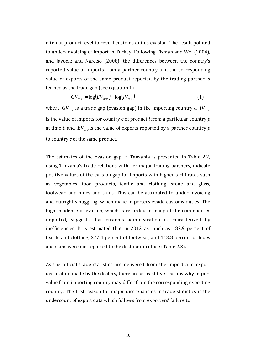often at product level to reveal customs duties evasion. The result pointed to under-invoicing of import in Turkey. Following Fisman and Wei (2004), and Javocik and Narciso (2008), the differences between the country's reported value of imports from a partner country and the corresponding value of exports of the same product reported by the trading partner is termed as the trade gap (see equation 1).

$$
GV_{cpi} = \log(EV_{pcit}) - \log(V_{cpi})
$$
\n(1)

where  $GV_{c\nu i}$  is a trade gap (evasion gap) in the importing country *c*,  $IV_{c\nu i}$ is the value of imports for country *c* of product *i* from a particular country *p* at time *t*, and  $EV_{\text{net}}$  is the value of exports reported by a partner country *p* to country *c* of the same product.

The estimates of the evasion gap in Tanzania is presented in Table 2.2, using Tanzania's trade relations with her major trading partners, indicate positive values of the evasion gap for imports with higher tariff rates such as vegetables, food products, textile and clothing, stone and glass, footwear, and hides and skins. This can be attributed to under-invoicing and outright smuggling, which make importers evade customs duties. The high incidence of evasion, which is recorded in many of the commodities imported, suggests that customs administration is characterized by inefficiencies. It is estimated that in 2012 as much as 182.9 percent of textile and clothing, 277.4 percent of footwear, and 113.8 percent of hides and skins were not reported to the destination office (Table 2.3).

As the official trade statistics are delivered from the import and export declaration made by the dealers, there are at least five reasons why import value from importing country may differ from the corresponding exporting country. The first reason for major discrepancies in trade statistics is the undercount of export data which follows from exporters' failure to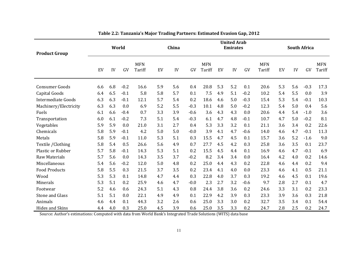| <b>Product Group</b>      |     |     | World  |                      |     | China |        |                      |     | <b>United Arab</b><br><b>Emirates</b> |        |                      |     |     | <b>South Africa</b> |                      |
|---------------------------|-----|-----|--------|----------------------|-----|-------|--------|----------------------|-----|---------------------------------------|--------|----------------------|-----|-----|---------------------|----------------------|
|                           | EV  | IV  | GV     | <b>MFN</b><br>Tariff | EV  | IV    | GV     | <b>MFN</b><br>Tariff | EV  | IV                                    | GV     | <b>MFN</b><br>Tariff | EV  | IV  | GV                  | <b>MFN</b><br>Tariff |
| <b>Consumer Goods</b>     | 6.6 | 6.8 | $-0.2$ | 16.6                 | 5.9 | 5.6   | 0.4    | 20.8                 | 5.3 | 5.2                                   | 0.1    | 20.6                 | 5.3 | 5.6 | $-0.3$              | 17.3                 |
| Capital Goods             | 6.4 | 6.5 | $-0.1$ | 5.8                  | 5.8 | 5.7   | 0.1    | 7.5                  | 4.9 | 5.1                                   | $-0.2$ | 10.2                 | 5.4 | 5.5 | 0.0                 | 3.9                  |
| <b>Intermediate Goods</b> | 6.3 | 6.3 | $-0.1$ | 12.1                 | 5.7 | 5.4   | 0.2    | 18.6                 | 4.6 | 5.0                                   | $-0.3$ | 15.4                 | 5.3 | 5.4 | $-0.1$              | 10.3                 |
| Machinery/Electricity     | 6.3 | 6.3 | 0.0    | 6.9                  | 5.2 | 5.5   | $-0.3$ | 10.1                 | 4.8 | 5.0                                   | $-0.2$ | 12.3                 | 5.4 | 5.0 | 0.4                 | 5.6                  |
| Fuels                     | 6.1 | 6.6 | $-0.4$ | 0.7                  | 3.3 | 3.9   | $-0.6$ | 3.6                  | 4.3 | 4.3                                   | 0.0    | 20.6                 | 4.4 | 5.4 | $-1.0$              | 3.6                  |
| Transportation            | 6.0 | 6.1 | $-0.2$ | 7.3                  | 5.1 | 5.4   | $-0.3$ | 6.1                  | 4.7 | 4.8                                   | $-0.1$ | 10.7                 | 4.7 | 5.0 | $-0.2$              | 8.1                  |
| Vegetables                | 5.9 | 5.9 | 0.0    | 21.0                 | 3.1 | 2.7   | 0.4    | 5.3                  | 3.3 | 3.2                                   | 0.1    | 21.1                 | 3.6 | 3.4 | 0.2                 | 22.6                 |
| Chemicals                 | 5.8 | 5.9 | $-0.1$ | 4.2                  | 5.0 | 5.0   | $-0.0$ | 3.9                  | 4.1 | 4.7                                   | $-0.6$ | 14.0                 | 4.6 | 4.7 | $-0.1$              | 11.3                 |
| Metals                    | 5.8 | 5.9 | $-0.1$ | 11.0                 | 5.3 | 5.1   | 0.3    | 15.5                 | 4.7 | 4.5                                   | 0.1    | 15.7                 | 3.6 | 5.2 | $-1.6$              | 9.0                  |
| Textile / Clothing        | 5.8 | 5.4 | 0.5    | 26.6                 | 5.6 | 4.9   | 0.7    | 27.7                 | 4.5 | 4.2                                   | 0.3    | 25.8                 | 3.6 | 3.5 | 0.1                 | 23.7                 |
| Plastic or Rubber         | 5.7 | 5.8 | $-0.1$ | 14.3                 | 5.3 | 5.1   | 0.2    | 15.5                 | 4.5 | 4.4                                   | 0.1    | 16.9                 | 4.6 | 4.7 | $-0.1$              | 6.9                  |
| <b>Raw Materials</b>      | 5.7 | 5.6 | 0.0    | 14.3                 | 3.5 | 3.7   | $-0.2$ | 8.2                  | 3.4 | 3.4                                   | 0.0    | 16.4                 | 4.2 | 4.0 | 0.2                 | 14.6                 |
| Miscellaneous             | 5.4 | 5.6 | $-0.2$ | 12.0                 | 5.0 | 4.8   | 0.2    | 25.0                 | 4.4 | 4.3                                   | 0.2    | 22.8                 | 4.6 | 4.4 | 0.2                 | 9.4                  |
| <b>Food Products</b>      | 5.8 | 5.5 | 0.3    | 21.5                 | 3.7 | 3.5   | 0.2    | 23.4                 | 4.1 | 4.0                                   | 0.0    | 23.3                 | 4.6 | 4.1 | 0.5                 | 21.1                 |
| Wood                      | 5.3 | 5.3 | 0.1    | 14.8                 | 4.7 | 4.4   | 0.3    | 22.8                 | 4.0 | 3.7                                   | 0.3    | 19.2                 | 4.6 | 4.5 | 0.1                 | 19.6                 |
| Minerals                  | 5.3 | 5.1 | 0.2    | 25.9                 | 4.6 | 4.7   | $-0.0$ | 2.3                  | 2.7 | 3.2                                   | $-0.6$ | 9.7                  | 2.8 | 2.7 | 0.1                 | 4.7                  |
| Footwear                  | 5.2 | 4.6 | 0.6    | 24.3                 | 5.1 | 4.3   | 0.8    | 24.4                 | 3.8 | 3.6                                   | 0.2    | 24.6                 | 3.3 | 3.1 | 0.2                 | 23.3                 |
| <b>Stone and Glass</b>    | 5.1 | 5.1 | 0.0    | 22.1                 | 4.9 | 4.9   | 0.1    | 22.9                 | 4.2 | 3.9                                   | 0.3    | 23.3                 | 3.9 | 3.6 | 0.3                 | 21.8                 |
| Animals                   | 4.6 | 4.4 | 0.1    | 44.3                 | 3.2 | 2.6   | 0.6    | 25.0                 | 3.3 | 3.0                                   | 0.2    | 32.7                 | 3.5 | 3.4 | 0.1                 | 54.4                 |
| <b>Hides and Skins</b>    | 4.4 | 4.0 | 0.3    | 25.0                 | 4.5 | 3.9   | 0.6    | 25.0                 | 3.5 | 3.3                                   | 0.2    | 24.7                 | 2.8 | 2.5 | 0.2                 | 24.7                 |

|  | Table 2.2: Tanzania's Major Trading Partners: Estimated Evasion Gap, 2012 |  |  |
|--|---------------------------------------------------------------------------|--|--|
|  |                                                                           |  |  |

Source: Author's estimations: Computed with data from World Bank's Integrated Trade Solutions (WITS) data base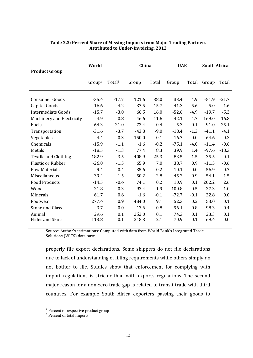| <b>Product Group</b>        | World              |                    | China   |         | <b>UAE</b> |        | <b>South Africa</b> |         |
|-----------------------------|--------------------|--------------------|---------|---------|------------|--------|---------------------|---------|
|                             | Group <sup>4</sup> | Total <sup>5</sup> | Group   | Total   | Group      | Total  | Group               | Total   |
| <b>Consumer Goods</b>       | $-35.4$            | $-17.7$            | 121.6   | 38.0    | 33.4       | 4.9    | $-51.9$             | $-21.7$ |
| Capital Goods               | $-16.6$            | $-4.2$             | 37.5    | 15.7    | $-41.3$    | $-5.6$ | $-5.0$              | $-1.6$  |
| <b>Intermediate Goods</b>   | $-15.7$            | $-3.0$             | 66.5    | 16.0    | $-52.6$    | $-4.9$ | $-19.7$             | $-5.3$  |
| Machinery and Electricity   | $-4.9$             | $-0.8$             | $-46.6$ | $-11.6$ | $-42.1$    | $-4.7$ | 169.0               | 16.8    |
| Fuels                       | $-64.3$            | $-21.0$            | $-72.4$ | $-0.4$  | 5.3        | 0.1    | $-91.0$             | $-25.1$ |
| Transportation              | $-31.6$            | $-3.7$             | $-43.8$ | $-9.0$  | $-18.4$    | $-1.3$ | $-41.1$             | $-4.1$  |
| Vegetables                  | 4.4                | 0.3                | 150.0   | 0.1     | $-16.7$    | 0.0    | 64.6                | 0.2     |
| Chemicals                   | $-15.9$            | $-1.1$             | $-1.6$  | $-0.2$  | $-75.1$    | $-4.0$ | $-11.4$             | $-0.6$  |
| Metals                      | $-18.5$            | $-1.3$             | 77.4    | 8.3     | 39.9       | 1.4    | $-97.6$             | $-18.3$ |
| <b>Textile and Clothing</b> | 182.9              | 3.5                | 408.9   | 25.3    | 83.5       | 1.5    | 35.5                | 0.1     |
| Plastic or Rubber           | $-26.0$            | $-1.5$             | 65.9    | 7.0     | 38.7       | 0.9    | $-11.5$             | $-0.6$  |
| <b>Raw Materials</b>        | 9.4                | 0.4                | $-35.6$ | $-0.2$  | 10.1       | 0.0    | 56.9                | 0.7     |
| Miscellaneous               | $-39.4$            | $-1.5$             | 50.2    | 2.8     | 45.2       | 0.9    | 54.1                | 1.5     |
| <b>Food Products</b>        | $-14.5$            | $-0.4$             | 74.1    | 0.2     | 10.9       | 0.1    | 202.2               | 2.6     |
| Wood                        | 21.8               | 0.3                | 93.4    | 1.9     | 100.8      | 0.5    | 27.3                | 1.0     |
| Minerals                    | 61.7               | 0.6                | $-1.6$  | $-0.1$  | $-72.7$    | $-0.1$ | 22.8                | 0.0     |
| Footwear                    | 277.4              | 0.9                | 484.0   | 9.1     | 52.3       | 0.2    | 53.0                | 0.1     |
| <b>Stone and Glass</b>      | $-3.7$             | 0.0                | 13.6    | 0.8     | 96.1       | 0.8    | 98.3                | 0.4     |
| Animal                      | 29.6               | 0.1                | 252.0   | 0.1     | 74.3       | 0.1    | 23.3                | 0.1     |
| Hides and Skins             | 113.8              | 0.1                | 318.3   | 2.1     | 70.9       | 0.1    | 69.4                | 0.0     |

# **Table 2.3: Percent Share of Missing Imports from Major Trading Partners Attributed to Under-Invoicing, 2012**

Source: Author's estimations: Computed with data from World Bank's Integrated Trade Solutions (WITS) data base.

properly file export declarations. Some shippers do not file declarations due to lack of understanding of filling requirements while others simply do not bother to file. Studies show that enforcement for complying with import regulations is stricter than with exports regulations. The second major reason for a non-zero trade gap is related to transit trade with third countries. For example South Africa exporters passing their goods to

 4 Percent of respective product group

<sup>&</sup>lt;sup>5</sup> Percent of total imports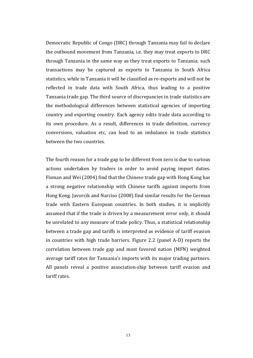Democratic Republic of Congo (DRC) through Tanzania may fail to declare the outbound movement from Tanzania, i.e. they may treat exports to DRC through Tanzania in the same way as they treat exports to Tanzania; such transactions may be captured as exports to Tanzania in South Africa statistics, while in Tanzania it will be classified as re-exports and will not be reflected in trade data with South Africa, thus leading to a positive Tanzania trade gap. The third source of discrepancies in trade statistics are the methodological differences between statistical agencies of importing country and exporting country. Each agency edits trade data according to its own procedure. As a result, differences in trade definition, currency conversions, valuation etc, can lead to an imbalance in trade statistics between the two countries.

The fourth reason for a trade gap to be different from zero is due to various actions undertaken by traders in order to avoid paying import duties. Fisman and Wei (2004) find that the Chinese trade gap with Hong Kong has a strong negative relationship with Chinese tariffs against imports from Hong Kong. Javorcik and Narciso (2008) find similar results for the German trade with Eastern European countries. In both studies, it is implicitly assumed that if the trade is driven by a measurement error only, it should be unrelated to any measure of trade policy. Thus, a statistical relationship between a trade gap and tariffs is interpreted as evidence of tariff evasion in countries with high trade barriers. Figure 2.2 (panel A-D) reports the correlation between trade gap and most favored nation (MFN) weighted average tariff rates for Tanzania's imports with its major trading partners. All panels reveal a positive association-ship between tariff evasion and tariff rates.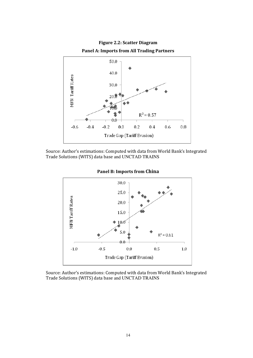

Source: Author's estimations: Computed with data from World Bank's Integrated Trade Solutions (WITS) data base and UNCTAD TRAINS



**Panel B: Imports from China**

Source: Author's estimations: Computed with data from World Bank's Integrated Trade Solutions (WITS) data base and UNCTAD TRAINS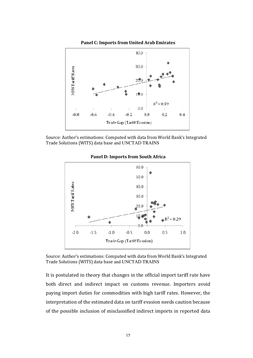

Source: Author's estimations: Computed with data from World Bank's Integrated Trade Solutions (WITS) data base and UNCTAD TRAINS



#### **Panel D: Imports from South Africa**

Source: Author's estimations: Computed with data from World Bank's Integrated Trade Solutions (WITS) data base and UNCTAD TRAINS

It is postulated in theory that changes in the official import tariff rate have both direct and indirect impact on customs revenue. Importers avoid paying import duties for commodities with high tariff rates. However, the interpretation of the estimated data on tariff evasion needs caution because of the possible inclusion of misclassified indirect imports in reported data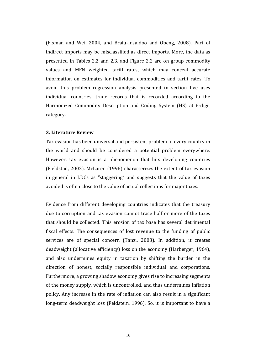(Fisman and Wei, 2004, and Brafu-Insaidoo and Obeng, 2008). Part of indirect imports may be misclassified as direct imports. More, the data as presented in Tables 2.2 and 2.3, and Figure 2.2 are on group commodity values and MFN weighted tariff rates, which may conceal accurate information on estimates for individual commodities and tariff rates. To avoid this problem regression analysis presented in section five uses individual countries' trade records that is recorded according to the Harmonized Commodity Description and Coding System (HS) at 6-digit category.

#### **3. Literature Review**

Tax evasion has been universal and persistent problem in every country in the world and should be considered a potential problem everywhere. However, tax evasion is a phenomenon that hits developing countries (Fjeldstad, 2002). McLaren (1996) characterizes the extent of tax evasion in general in LDCs as "staggering" and suggests that the value of taxes avoided is often close to the value of actual collections for major taxes.

Evidence from different developing countries indicates that the treasury due to corruption and tax evasion cannot trace half or more of the taxes that should be collected. This erosion of tax base has several detrimental fiscal effects. The consequences of lost revenue to the funding of public services are of special concern (Tanzi, 2003). In addition, it creates deadweight (allocative efficiency) loss on the economy (Harberger, 1964), and also undermines equity in taxation by shifting the burden in the direction of honest, socially responsible individual and corporations. Furthermore, a growing shadow economy gives rise to increasing segments of the money supply, which is uncontrolled, and thus undermines inflation policy. Any increase in the rate of inflation can also result in a significant long-term deadweight loss (Feldstein, 1996). So, it is important to have a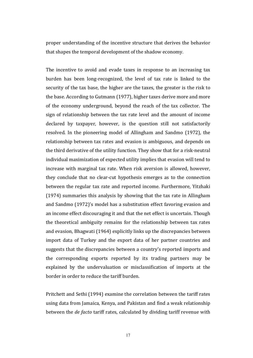proper understanding of the incentive structure that derives the behavior that shapes the temporal development of the shadow economy.

The incentive to avoid and evade taxes in response to an increasing tax burden has been long-recognized, the level of tax rate is linked to the security of the tax base, the higher are the taxes, the greater is the risk to the base. According to Gutmann (1977), higher taxes derive more and more of the economy underground, beyond the reach of the tax collector. The sign of relationship between the tax rate level and the amount of income declared by taxpayer, however, is the question still not satisfactorily resolved. In the pioneering model of Allingham and Sandmo (1972), the relationship between tax rates and evasion is ambiguous, and depends on the third derivative of the utility function. They show that for a risk-neutral individual maximization of expected utility implies that evasion will tend to increase with marginal tax rate. When risk aversion is allowed, however, they conclude that no clear-cut hypothesis emerges as to the connection between the regular tax rate and reported income. Furthermore, Yitzhaki (1974) summaries this analysis by showing that the tax rate in Allingham and Sandmo (1972)'s model has a substitution effect favoring evasion and an income effect discouraging it and that the net effect is uncertain. Though the theoretical ambiguity remains for the relationship between tax rates and evasion, Bhagwati (1964) explicitly links up the discrepancies between import data of Turkey and the export data of her partner countries and suggests that the discrepancies between a country's reported imports and the corresponding exports reported by its trading partners may be explained by the undervaluation or misclassification of imports at the border in order to reduce the tariff burden.

Pritchett and Sethi (1994) examine the correlation between the tariff rates using data from Jamaica, Kenya, and Pakistan and find a weak relationship between the *de facto* tariff rates, calculated by dividing tariff revenue with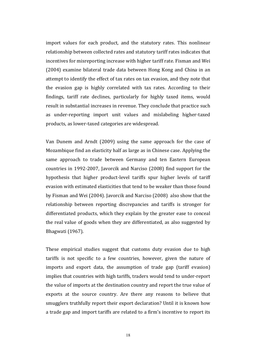import values for each product, and the statutory rates. This nonlinear relationship between collected rates and statutory tariff rates indicates that incentives for misreporting increase with higher tariff rate. Fisman and Wei (2004) examine bilateral trade data between Hong Kong and China in an attempt to identify the effect of tax rates on tax evasion, and they note that the evasion gap is highly correlated with tax rates. According to their findings, tariff rate declines, particularly for highly taxed items, would result in substantial increases in revenue. They conclude that practice such as under-reporting import unit values and mislabeling higher-taxed products, as lower-taxed categories are widespread.

Van Dunem and Arndt (2009) using the same approach for the case of Mozambique find an elasticity half as large as in Chinese case. Applying the same approach to trade between Germany and ten Eastern European countries in 1992-2007, Javorcik and Narciso (2008) find support for the hypothesis that higher product-level tariffs spur higher levels of tariff evasion with estimated elasticities that tend to be weaker than those found by Fisman and Wei (2004). Javorcik and Narciso (2008) also show that the relationship between reporting discrepancies and tariffs is stronger for differentiated products, which they explain by the greater ease to conceal the real value of goods when they are differentiated, as also suggested by Bhagwati (1967).

These empirical studies suggest that customs duty evasion due to high tariffs is not specific to a few countries, however, given the nature of imports and export data, the assumption of trade gap (tariff evasion) implies that countries with high tariffs, traders would tend to under-report the value of imports at the destination country and report the true value of exports at the source country. Are there any reasons to believe that smugglers truthfully report their export declaration? Until it is known how a trade gap and import tariffs are related to a firm's incentive to report its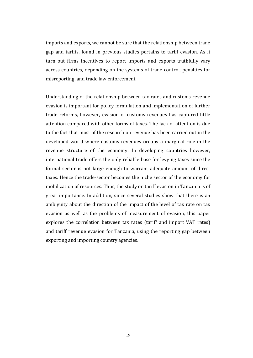imports and exports, we cannot be sure that the relationship between trade gap and tariffs, found in previous studies pertains to tariff evasion. As it turn out firms incentives to report imports and exports truthfully vary across countries, depending on the systems of trade control, penalties for misreporting, and trade law enforcement.

Understanding of the relationship between tax rates and customs revenue evasion is important for policy formulation and implementation of further trade reforms, however, evasion of customs revenues has captured little attention compared with other forms of taxes. The lack of attention is due to the fact that most of the research on revenue has been carried out in the developed world where customs revenues occupy a marginal role in the revenue structure of the economy. In developing countries however, international trade offers the only reliable base for levying taxes since the formal sector is not large enough to warrant adequate amount of direct taxes. Hence the trade-sector becomes the niche sector of the economy for mobilization of resources. Thus, the study on tariff evasion in Tanzania is of great importance. In addition, since several studies show that there is an ambiguity about the direction of the impact of the level of tax rate on tax evasion as well as the problems of measurement of evasion, this paper explores the correlation between tax rates (tariff and import VAT rates) and tariff revenue evasion for Tanzania, using the reporting gap between exporting and importing country agencies.

19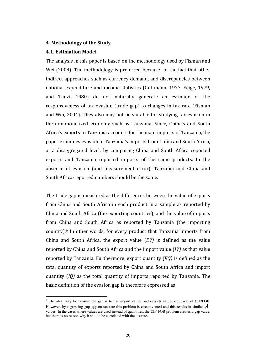# **4. Methodology of the Study**

# **4.1. Estimation Model**

 $\overline{a}$ 

The analysis in this paper is based on the methodology used by Fisman and Wei (2004). The methodology is preferred because of the fact that other indirect approaches such as currency demand, and discrepancies between national expenditure and income statistics (Guttmann, 1977, Feige, 1979, and Tanzi, 1980) do not naturally generate an estimate of the responsiveness of tax evasion (trade gap) to changes in tax rate (Fisman and Wei, 2004). They also may not be suitable for studying tax evasion in the non-monetized economy such as Tanzania. Since, China's and South Africa's exports to Tanzania accounts for the main imports of Tanzania, the paper examines evasion in Tanzania's imports from China and South Africa, at a disaggregated level, by comparing China and South Africa reported exports and Tanzania reported imports of the same products. In the absence of evasion (and measurement error), Tanzania and China and South Africa-reported numbers should be the same.

The trade gap is measured as the differences between the value of exports from China and South Africa in each product in a sample as reported by China and South Africa (the exporting countries), and the value of imports from China and South Africa as reported by Tanzania (the importing country).6 In other words, for every product that Tanzania imports from China and South Africa, the export value (*EV)* is defined as the value reported by China and South Africa and the import value (*IV)* as that value reported by Tanzania. Furthermore, export quantity (*EQ)* is defined as the total quantity of exports reported by China and South Africa and import quantity (*IQ)* as the total quantity of imports reported by Tanzania. The basic definition of the evasion gap is therefore expressed as

<sup>&</sup>lt;sup>6</sup> The ideal way to measure the gap is to use import values and exports values exclusive of CIF/FOB. However, by regressing gap qty on tax rate this problem is circumvented and this results in similar  $\lambda$  values. In the cases where values are used instead of quantities, the CIF-FOB problem creates a gap value, but there is no reason why it should be correlated with the tax rate.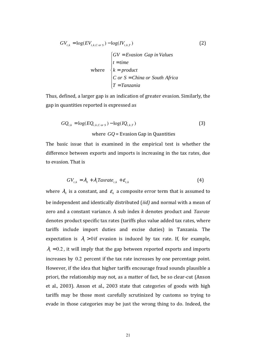$$
GV_{t,k} = \log(EV_{t,k,C \text{ or } S}) - \log(IV_{t,k,T})
$$
\n
$$
\begin{cases}\nGV = Evasion \text{ Gap in Values} \\
t = time \\
k = product \\
C \text{ or } S = China \text{ or South Africa} \\
T = Tanzania\n\end{cases}
$$
\n(2)

Thus, defined, a larger gap is an indication of greater evasion. Similarly, the gap in quantities reported is expressed as

$$
GQ_{t,k} = \log(EQ_{t,k,C \text{ or } S}) - \log(IQ_{t,k,T})
$$
\nwhere  $GQ$  = Evasion Gap in Quantities

\n(3)

The basic issue that is examined in the empirical test is whether the difference between exports and imports is increasing in the tax rates, due to evasion. That is

$$
GV_{t,k} = \lambda_0 + \lambda_1 Taxrate_{t,k} + \varepsilon_{t,k}
$$
\n<sup>(4)</sup>

where  $\lambda_0$  is a constant, and  $\varepsilon_{\scriptscriptstyle{k}}$  a composite error term that is assumed to be independent and identically distributed (*iid)* and normal with a mean of zero and a constant variance. A sub index *k* denotes product and *Taxrate* denotes product specific tax rates (tariffs plus value added tax rates, where tariffs include import duties and excise duties) in Tanzania. The expectation is  $\lambda_1 > 0$  if evasion is induced by tax rate. If, for example,  $\lambda_1 = 0.2$ , it will imply that the gap between reported exports and imports increases by  $0.2$  percent if the tax rate increases by one percentage point. However, if the idea that higher tariffs encourage fraud sounds plausible a priori, the relationship may not, as a matter of fact, be so clear-cut (Anson et al., 2003). Anson et al., 2003 state that categories of goods with high tariffs may be those most carefully scrutinized by customs so trying to evade in those categories may be just the wrong thing to do. Indeed, the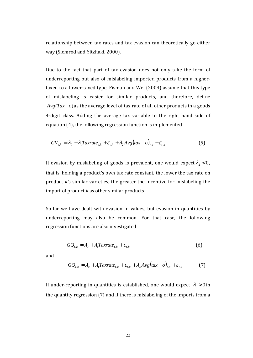relationship between tax rates and tax evasion can theoretically go either way (Slemrod and Yitzhaki, 2000).

Due to the fact that part of tax evasion does not only take the form of underreporting but also of mislabeling imported products from a highertaxed to a lower-taxed type, Fisman and Wei (2004) assume that this type of mislabeling is easier for similar products, and therefore, define  $Avg(Tax \_ o)$  as the average level of tax rate of all other products in a goods 4-digit class. Adding the average tax variable to the right hand side of equation (4), the following regression function is implemented

$$
GV_{t,k} = \lambda_0 + \lambda_1 Taxrate_{t,k} + \varepsilon_{t,k} + \lambda_2 Avg(tax_{-}o)_{t,k} + \varepsilon_{t,k}
$$
\n
$$
\tag{5}
$$

If evasion by mislabeling of goods is prevalent, one would expect  $\lambda_2 < 0$ , that is, holding a product's own tax rate constant, the lower the tax rate on product *k'*s similar varieties, the greater the incentive for mislabeling the import of product *k* as other similar products.

So far we have dealt with evasion in values, but evasion in quantities by underreporting may also be common. For that case, the following regression functions are also investigated

$$
GQ_{t,k} = \lambda_0 + \lambda_1 Taxrate_{t,k} + \varepsilon_{t,k}
$$
\n<sup>(6)</sup>

and

$$
GQ_{t,k} = \lambda_0 + \lambda_1 Taxrate_{t,k} + \varepsilon_{t,k} + \lambda_2 Avg(tax_{-}o)_{t,k} + \varepsilon_{t,k}
$$
 (7)

If under-reporting in quantities is established, one would expect  $\lambda_1 > 0$  in the quantity regression (7) and if there is mislabeling of the imports from a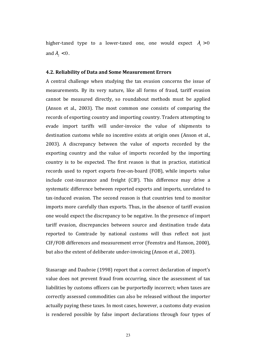higher-taxed type to a lower-taxed one, one would expect  $\lambda_1 > 0$ and  $\lambda_2 < 0$ .

# **4.2. Reliability of Data and Some Measurement Errors**

A central challenge when studying the tax evasion concerns the issue of measurements. By its very nature, like all forms of fraud, tariff evasion cannot be measured directly, so roundabout methods must be applied (Anson et al., 2003). The most common one consists of comparing the records of exporting country and importing country. Traders attempting to evade import tariffs will under-invoice the value of shipments to destination customs while no incentive exists at origin ones (Anson et al., 2003). A discrepancy between the value of exports recorded by the exporting country and the value of imports recorded by the importing country is to be expected. The first reason is that in practice, statistical records used to report exports free-on-board (FOB), while imports value include cost-insurance and freight (CIF). This difference may drive a systematic difference between reported exports and imports, unrelated to tax-induced evasion. The second reason is that countries tend to monitor imports more carefully than exports. Thus, in the absence of tariff evasion one would expect the discrepancy to be negative. In the presence of import tariff evasion, discrepancies between source and destination trade data reported to Comtrade by national customs will thus reflect not just CIF/FOB differences and measurement error (Feenstra and Hanson, 2000), but also the extent of deliberate under-invoicing (Anson et al., 2003).

Stasarage and Daubrée (1998) report that a correct declaration of import's value does not prevent fraud from occurring, since the assessment of tax liabilities by customs officers can be purportedly incorrect; when taxes are correctly assessed commodities can also be released without the importer actually paying these taxes. In most cases, however, a customs duty evasion is rendered possible by false import declarations through four types of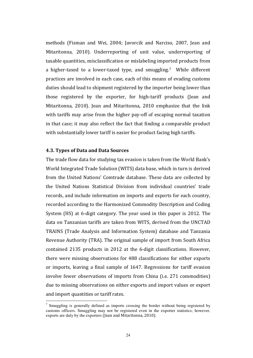methods (Fisman and Wei, 2004; Javorcik and Narciso, 2007, Jean and Mitaritonna, 2010). Underreporting of unit value, underreporting of taxable quantities, misclassification or mislabeling imported products from a higher-taxed to a lower-taxed type, and smuggling. <sup>7</sup> While different practices are involved in each case, each of this means of evading customs duties should lead to shipment registered by the importer being lower than those registered by the exporter, for high-tariff products (Jean and Mitaritonna, 2010). Jean and Mitaritonna, 2010 emphasize that the link with tariffs may arise from the higher pay-off of escaping normal taxation in that case; it may also reflect the fact that finding a comparable product with substantially lower tariff is easier for product facing high tariffs.

# **4.3. Types of Data and Data Sources**

 $\overline{a}$ 

The trade flow data for studying tax evasion is taken from the World Bank's World Integrated Trade Solution (WITS) data base, which in turn is derived from the United Nations' Comtrade database. These data are collected by the United Nations Statistical Division from individual countries' trade records, and include information on imports and exports for each country, recorded according to the Harmonized Commodity Description and Coding System (HS) at 6-digit category. The year used in this paper is 2012. The data on Tanzanian tariffs are taken from WITS, derived from the UNCTAD TRAINS (Trade Analysis and Information System) database and Tanzania Revenue Authority (TRA). The original sample of import from South Africa contained 2135 products in 2012 at the 6-digit classifications. However, there were missing observations for 488 classifications for either exports or imports, leaving a final sample of 1647. Regressions for tariff evasion involve fewer observations of imports from China (i.e. 271 commodities) due to missing observations on either exports and import values or export and import quantities or tariff rates.

 $<sup>7</sup>$  Smuggling is generally defined as imports crossing the border without being registered by</sup> customs officers. Smuggling may not be registered even in the exporter statistics; however, exports are duly by the exporters (Jean and Mitaritonna, 2010).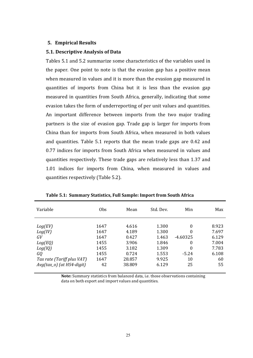#### **5. Empirical Results**

#### **5.1. Descriptive Analysis of Data**

Tables 5.1 and 5.2 summarize some characteristics of the variables used in the paper. One point to note is that the evasion gap has a positive mean when measured in values and it is more than the evasion gap measured in quantities of imports from China but it is less than the evasion gap measured in quantities from South Africa, generally, indicating that some evasion takes the form of underreporting of per unit values and quantities. An important difference between imports from the two major trading partners is the size of evasion gap. Trade gap is larger for imports from China than for imports from South Africa, when measured in both values and quantities. Table 5.1 reports that the mean trade gaps are 0.42 and 0.77 indices for imports from South Africa when measured in values and quantities respectively. These trade gaps are relatively less than 1.37 and 1.01 indices for imports from China, when measured in values and quantities respectively (Table 5.2).

| Variable                    | 0bs          | Mean           | Std. Dev.      | Min                    | Max            |
|-----------------------------|--------------|----------------|----------------|------------------------|----------------|
| Log(EV)                     | 1647         | 4.616          | 1.300          | $\theta$               | 8.923          |
| Log(IV)                     | 1647         | 4.189          | 1.300          | $\theta$               | 7.697          |
| GV                          | 1647         | 0.427<br>3.906 | 1.463<br>1.846 | $-4.60325$<br>$\theta$ | 6.129<br>7.004 |
| Log(EQ)<br>Log(IQ)          | 1455<br>1455 | 3.182          | 1.309          | 0                      | 7.783          |
| GQ                          | 1455         | 0.724          | 1.553          | $-5.24$                | 6.108          |
| Tax rate (Tariff plus VAT)  | 1647         | 28.857         | 9.925          | 10                     | 60             |
| $Avg(tax_0)$ (at HS4-digit) | 42           | 38.809         | 6.129          | 25                     | 55             |

**Table 5.1: Summary Statistics, Full Sample: Import from South Africa** 

**Note:** Summary statistics from balanced data, i.e. those observations containing data on both export and import values and quantities.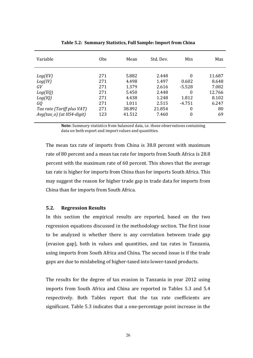| Variable                    | 0 <sub>bs</sub> | Mean   | Std. Dev. | Min              | Max    |
|-----------------------------|-----------------|--------|-----------|------------------|--------|
| Log(EV)                     | 271             | 5.882  | 2.448     | $\theta$         | 11.687 |
| Log(IV)                     | 271             | 4.498  | 1.497     | 0.602            | 8.648  |
| GV                          | 271             | 1.379  | 2.616     | $-5.528$         | 7.082  |
| Log(EQ)                     | 271             | 5.450  | 2.448     | $\theta$         | 12.766 |
| Log(IQ)                     | 271             | 4.438  | 1.248     | 1.812            | 8.102  |
| GQ                          | 271             | 1.011  | 2.515     | $-4.751$         | 6.247  |
| Tax rate (Tariff plus VAT)  | 271             | 38.892 | 21.854    | $\theta$         | 80     |
| $Avg(tax_0)$ (at HS4-digit) | 123             | 41.512 | 7.460     | $\boldsymbol{0}$ | 69     |

**Table 5.2: Summary Statistics, Full Sample: Import from China** 

**Note:** Summary statistics from balanced data, i.e. those observations containing data on both export and import values and quantities.

The mean tax rate of imports from China is 38.8 percent with maximum rate of 80 percent and a mean tax rate for imports from South Africa is 28.8 percent with the maximum rate of 60 percent. This shows that the average tax rate is higher for imports from China than for imports South Africa. This may suggest the reason for higher trade gap in trade data for imports from China than for imports from South Africa.

# **5.2. Regression Results**

In this section the empirical results are reported, based on the two regression equations discussed in the methodology section. The first issue to be analyzed is whether there is any correlation between trade gap (evasion gap), both in values and quantities, and tax rates in Tanzania, using imports from South Africa and China. The second issue is if the trade gaps are due to mislabeling of higher-taxed into lower-taxed products.

The results for the degree of tax evasion in Tanzania in year 2012 using imports from South Africa and China are reported in Tables 5.3 and 5.4 respectively. Both Tables report that the tax rate coefficients are significant. Table 5.3 indicates that a one-percentage point increase in the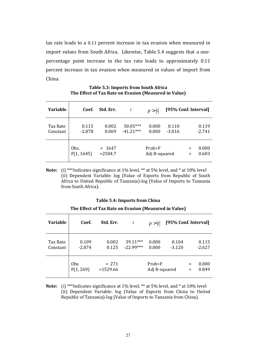tax rate leads to a 0.11 percent increase in tax evasion when measured in import values from South Africa. Likewise, Table 5.4 suggests that a onepercentage point increase in the tax rate leads to approximately 0.11 percent increase in tax evasion when measured in values of import from China.

| <b>Variable</b>      | Coef.              | Std. Err.              | t                         | p >  t                  | [95% Conf. Interval] |            |                   |
|----------------------|--------------------|------------------------|---------------------------|-------------------------|----------------------|------------|-------------------|
| Tax Rate<br>Constant | 0.115<br>$-2.878$  | 0.002<br>0.069         | $50.05***$<br>$-41.21***$ | 0.000<br>0.000          | 0.110<br>$-3.016$    |            | 0.119<br>$-2.741$ |
|                      | Obs.<br>F(1, 1645) | $= 1647$<br>$= 2504.7$ |                           | Prob>F<br>Adj R-squared |                      | $=$<br>$=$ | 0.000<br>0.603    |

**Table 5.3: Imports from South Africa The Effect of Tax Rate on Evasion (Measured in Value)** 

**Note:** (i) \*\*\*Indicates significance at 1% level, \*\* at 5% level, and \* at 10% level (ii) Dependent Variable: log (Value of Exports from Republic of South Africa to United Republic of Tanzania)-log (Value of Imports to Tanzania from South Africa).

#### **Table 5.4: Imports from China**

| <b>Variable</b>      | Coef.                   | Std. Err.             | t                       | p >  t                  | [95% Conf. Interval] |            |                   |
|----------------------|-------------------------|-----------------------|-------------------------|-------------------------|----------------------|------------|-------------------|
| Tax Rate<br>Constant | 0.109<br>$-2.874$       | 0.002<br>0.125        | 39.11***<br>$-22.99***$ | 0.000<br>0.000          | 0.104<br>$-3.120$    |            | 0.115<br>$-2.627$ |
|                      | <b>Obs</b><br>F(1, 269) | $= 271$<br>$=1529.66$ |                         | Prob>F<br>Adj R-squared |                      | $=$<br>$=$ | 0.000<br>0.849    |

**The Effect of Tax Rate on Evasion (Measured in Value)**

**Note:** (i) \*\*\*Indicates significance at 1% level, \*\* at 5% level, and \* at 10% level (ii) Dependent Variable: log (Value of Exports from China to United Republic of Tanzania)-log (Value of Imports to Tanzania from China).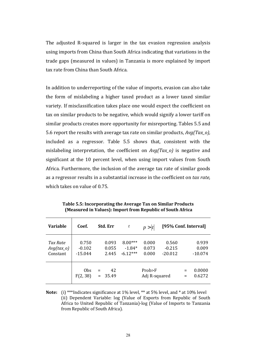The adjusted R-squared is larger in the tax evasion regression analysis using imports from China than South Africa indicating that variations in the trade gaps (measured in values) in Tanzania is more explained by import tax rate from China than South Africa.

In addition to underreporting of the value of imports, evasion can also take the form of mislabeling a higher taxed product as a lower taxed similar variety. If misclassification takes place one would expect the coefficient on tax on similar products to be negative, which would signify a lower tariff on similar products creates more opportunity for misreporting. Tables 5.5 and 5.6 report the results with average tax rate on similar products, *Avg(Tax\_o),*  included as a regressor. Table 5.5 shows that, consistent with the mislabeling interpretation, the coefficient on *Avg(Tax\_o)* is negative and significant at the 10 percent level, when using import values from South Africa. Furthermore, the inclusion of the average tax rate of similar goods as a regressor results in a substantial increase in the coefficient on *tax rate*, which takes on value of 0.75.

| Variable                             | Coef.                          | Std. Err                | t                                   | p >  t                  | [95% Conf. Interval]           |            |                             |
|--------------------------------------|--------------------------------|-------------------------|-------------------------------------|-------------------------|--------------------------------|------------|-----------------------------|
| Tax Rate<br>$Avg(tax_0)$<br>Constant | 0.750<br>$-0.102$<br>$-15.044$ | 0.093<br>0.055<br>2.445 | $8.00***$<br>$-1.84*$<br>$-6.12***$ | 0.000<br>0.073<br>0.000 | 0.560<br>$-0.215$<br>$-20.012$ |            | 0.939<br>0.009<br>$-10.074$ |
|                                      | Obs<br>F(2, 38)                | 42<br>35.49<br>$=$      |                                     | Prob>F<br>Adj R-squared |                                | $=$<br>$=$ | 0.0000<br>0.6272            |

**Table 5.5: Incorporating the Average Tax on Similar Products (Measured in Values): Import from Republic of South Africa** 

**Note:** (i) \*\*\*Indicates significance at 1% level, \*\* at 5% level, and \* at 10% level (ii) Dependent Variable: log (Value of Exports from Republic of South Africa to United Republic of Tanzania)-log (Value of Imports to Tanzania from Republic of South Africa).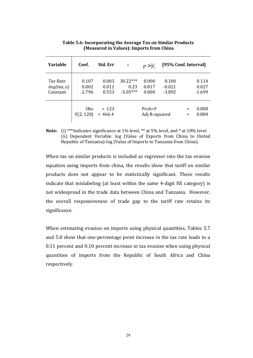| <b>Variable</b>                      | Coef.                        | <b>Std. Err</b>         | t                                | p >  t                  | [95% Conf. Interval]          |            |                            |
|--------------------------------------|------------------------------|-------------------------|----------------------------------|-------------------------|-------------------------------|------------|----------------------------|
| Tax Rate<br>$Avg(tax_0)$<br>Constant | 0.107<br>0.002<br>$-2.796$   | 0.003<br>0.012<br>0.553 | $30.22***$<br>0.23<br>$-5.05***$ | 0.000<br>0.817<br>0.000 | 0.100<br>$-0.021$<br>$-3.892$ |            | 0.114<br>0.027<br>$-1.699$ |
|                                      | 0 <sub>bs</sub><br>F(2, 120) | $= 123$<br>$= 466.4$    |                                  | Prob>F<br>Adj R-squared |                               | $=$<br>$=$ | 0.000<br>0.884             |

| Table 5.6: Incorporating the Average Tax on Similar Products |
|--------------------------------------------------------------|
| (Measured in Values): Imports from China                     |

**Note:** (i) \*\*\*Indicates significance at 1% level, \*\* at 5% level, and \* at 10% level (ii) Dependent Variable: log (Value of Exports from China to United Republic of Tanzania)-log (Value of Imports to Tanzania from China).

When tax on similar products is included as regressor into the tax evasion equation using imports from china, the results show that tariff on similar products does not appear to be statistically significant. These results indicate that mislabeling (at least within the same 4-digit HS category) is not widespread in the trade data between China and Tanzania. However, the overall responsiveness of trade gap to the tariff rate retains its significance.

When estimating evasion on imports using physical quantities, Tables 5.7 and 5.8 show that one-percentage point increase in the tax rate leads to a 0.11 percent and 0.10 percent increase in tax evasion when using physical quantities of imports from the Republic of South Africa and China respectively.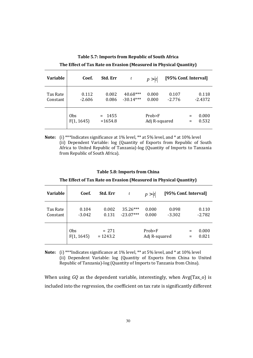| <b>Variable</b>      | Coef.                         | Std. Err              | t                       | p >  t                  | [95% Conf. Interval] |                    |
|----------------------|-------------------------------|-----------------------|-------------------------|-------------------------|----------------------|--------------------|
| Tax Rate<br>Constant | 0.112<br>$-2.606$             | 0.002<br>0.086        | 40.68***<br>$-30.14***$ | 0.000<br>0.000          | 0.107<br>$-2.776$    | 0.118<br>$-2.4372$ |
|                      | 0 <sub>bs</sub><br>F(1, 1645) | $= 1455$<br>$=1654.8$ |                         | Prob>F<br>Adj R-squared |                      | 0.000<br>0.532     |

**Table 5.7: Imports from Republic of South Africa The Effect of Tax Rate on Evasion (Measured in Physical Quantity)**

**Note:** (i) \*\*\*Indicates significance at 1% level, \*\* at 5% level, and \* at 10% level (ii) Dependent Variable: log (Quantity of Exports from Republic of South Africa to United Republic of Tanzania)-log (Quantity of Imports to Tanzania from Republic of South Africa).

#### **Table 5.8: Imports from China**

**The Effect of Tax Rate on Evasion (Measured in Physical Quantity)**

| <b>Variable</b>      | Coef.                    | <b>Std. Err</b>       | t                         | p >  t                  | [95% Conf. Interval] |  |                   |
|----------------------|--------------------------|-----------------------|---------------------------|-------------------------|----------------------|--|-------------------|
| Tax Rate<br>Constant | 0.104<br>$-3.042$        | 0.002<br>0.131        | $35.26***$<br>$-23.07***$ | 0.000<br>0.000          | 0.098<br>$-3.302$    |  | 0.110<br>$-2.782$ |
|                      | <b>Obs</b><br>F(1, 1645) | $= 271$<br>$= 1243.2$ |                           | Prob>F<br>Adj R-squared |                      |  | 0.000<br>0.821    |

**Note:** (i) \*\*\*Indicates significance at 1% level, \*\* at 5% level, and \* at 10% level (ii) Dependent Variable: log (Quantity of Exports from China to United Republic of Tanzania)-log (Quantity of Imports to Tanzania from China).

When using *GQ* as the dependent variable, interestingly, when Avg(Tax\_o) is included into the regression, the coefficient on tax rate is significantly different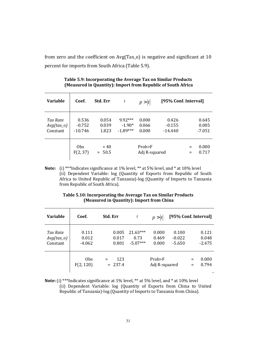from zero and the coefficient on Avg(Tax\_o) is negative and significant at 10 percent for imports from South Africa (Table 5.9).

| <b>Variable</b>                      | Coef.                          | <b>Std. Err</b>         | t                                   | p >  t                  | [95% Conf. Interval]           |            |                            |
|--------------------------------------|--------------------------------|-------------------------|-------------------------------------|-------------------------|--------------------------------|------------|----------------------------|
| Tax Rate<br>$Avg(tax_0)$<br>Constant | 0.536<br>$-0.752$<br>$-10.746$ | 0.054<br>0.039<br>1.823 | $9.92***$<br>$-1.90*$<br>$-1.89***$ | 0.000<br>0.066<br>0.000 | 0.426<br>$-0.155$<br>$-14.440$ |            | 0.645<br>0.005<br>$-7.051$ |
|                                      | 0 <sub>bs</sub><br>F(2, 37)    | $= 40$<br>$= 50.5$      |                                     | Prob>F<br>Adj R-squared |                                | $=$<br>$=$ | 0.000<br>0.717             |

**Table 5.9: Incorporating the Average Tax on Similar Products (Measured in Quantity): Import from Republic of South Africa** 

**Note:** (i) \*\*\*Indicates significance at 1% level, \*\* at 5% level, and \* at 10% level (ii) Dependent Variable: log (Quantity of Exports from Republic of South Africa to United Republic of Tanzania)-log (Quantity of Imports to Tanzania from Republic of South Africa).

**Table 5.10: Incorporating the Average Tax on Similar Products (Measured in Quantity): Import from China** 

| <b>Variable</b>                      | Coef.                      | <b>Std. Err</b>         | t<br>p >  t                      |                         | [95% Conf. Interval]          |            |                            |
|--------------------------------------|----------------------------|-------------------------|----------------------------------|-------------------------|-------------------------------|------------|----------------------------|
| Tax Rate<br>$Avg(tax_0)$<br>Constant | 0.111<br>0.012<br>$-4.062$ | 0.005<br>0.017<br>0.801 | $21.63***$<br>0.73<br>$-5.07***$ | 0.000<br>0.469<br>0.000 | 0.100<br>$-0.022$<br>$-5.650$ |            | 0.121<br>0.048<br>$-2.475$ |
|                                      | <b>Obs</b><br>F(2, 120)    | 123<br>$=$<br>$= 237.4$ |                                  | Prob>F<br>Adj R-squared |                               | $=$<br>$=$ | 0.000<br>0.794             |

**Note:** (i) \*\*\*Indicates significance at 1% level, \*\* at 5% level, and \* at 10% level (ii) Dependent Variable: log (Quantity of Exports from China to United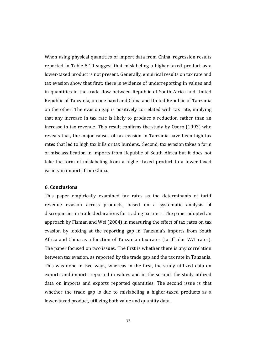When using physical quantities of import data from China, regression results reported in Table 5.10 suggest that mislabeling a higher-taxed product as a lower-taxed product is not present. Generally, empirical results on tax rate and tax evasion show that first; there is evidence of underreporting in values and in quantities in the trade flow between Republic of South Africa and United Republic of Tanzania, on one hand and China and United Republic of Tanzania on the other. The evasion gap is positively correlated with tax rate, implying that any increase in tax rate is likely to produce a reduction rather than an increase in tax revenue. This result confirms the study by Osoro (1993) who reveals that, the major causes of tax evasion in Tanzania have been high tax rates that led to high tax bills or tax burdens. Second, tax evasion takes a form of misclassification in imports from Republic of South Africa but it does not take the form of mislabeling from a higher taxed product to a lower taxed variety in imports from China.

# **6. Conclusions**

This paper empirically examined tax rates as the determinants of tariff revenue evasion across products, based on a systematic analysis of discrepancies in trade declarations for trading partners. The paper adopted an approach by Fisman and Wei (2004) in measuring the effect of tax rates on tax evasion by looking at the reporting gap in Tanzania's imports from South Africa and China as a function of Tanzanian tax rates (tariff plus VAT rates). The paper focused on two issues. The first is whether there is any correlation between tax evasion, as reported by the trade gap and the tax rate in Tanzania. This was done in two ways, whereas in the first, the study utilized data on exports and imports reported in values and in the second, the study utilized data on imports and exports reported quantities. The second issue is that whether the trade gap is due to mislabeling a higher-taxed products as a lower-taxed product, utilizing both value and quantity data.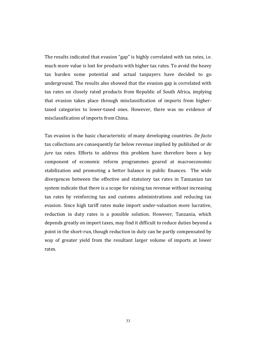The results indicated that evasion "gap" is highly correlated with tax rates, i.e. much more value is lost for products with higher tax rates. To avoid the heavy tax burden some potential and actual taxpayers have decided to go underground. The results also showed that the evasion gap is correlated with tax rates on closely rated products from Republic of South Africa, implying that evasion takes place through misclassification of imports from highertaxed categories to lower-taxed ones. However, there was no evidence of misclassification of imports from China.

Tax evasion is the basic characteristic of many developing countries. *De facto* tax collections are consequently far below revenue implied by published or *de jure* tax rates. Efforts to address this problem have therefore been a key component of economic reform programmes geared at macroeconomic stabilization and promoting a better balance in public finances. The wide divergences between the effective and statutory tax rates in Tanzanian tax system indicate that there is a scope for raising tax revenue without increasing tax rates by reinforcing tax and customs administrations and reducing tax evasion. Since high tariff rates make import under-valuation more lucrative, reduction in duty rates is a possible solution. However, Tanzania, which depends greatly on import taxes, may find it difficult to reduce duties beyond a point in the short-run, though reduction in duty can be partly compensated by way of greater yield from the resultant larger volume of imports at lower rates.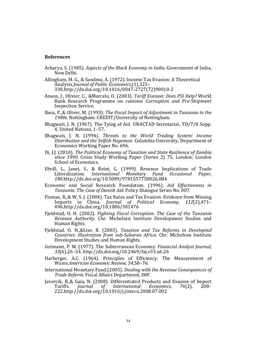#### **References**

- Acharya, S. (1985). *Aspects of the Black Economy in India*. Government of India, New Delhi.
- Allingham, M. G., & Sandmo, A. (1972). Income Tax Evasion: A Theoretical Analysis.*Journal of Public Economics*,(1),323– 338.http://dx.doi.org/10.1016/0047-2727(72)90010-2
- Anson, J., Olivier, C., &Marcelo, O. (2003). *Tariff Evasion: Does PSI Help?* World Bank Research Programme on customs Corruption and Pre-Shipment Inspection Service.
- Basu, P.,& Oliver, M. (1993). *The Fiscal Impact of Adjustment in Tanzania in the 1980s*. Nottingham: CREDIT/University of Nottingham.
- Bhagwati, J. N. (1967). The Tying of Aid. UNACTAD Secretariat, TD/7/8 Supp. 4, United Nations, 1–57.
- Bhagwati, J. N. (1994). *Threats to the World Trading System: Income Distribution and the Selfish Hegemon*. Columbia University, Department of Economics Working Paper No. 696.
- Di, J.J. (2010). *The Political Economy of Taxation and State Resilience of Zambia since 1990*. Crisis Study Working Paper (Series 2) 75, London; London School of Economics.
- Ebrill, L., Janet, S., & Reint, G. (1999). Revenue Implications of Trade Liberalization. *International Monetary Fund Occasional Paper, 180*.http://dx.doi.org/10.5089/9781557758026.084
- Economic and Social Research Foundation. (1996). *Aid Effectiveness in Tanzania: The Case of Danish Aid*. Policy Dialogue Series No. 007.
- Fisman, R.,& W, S. J. (2004). Tax Rates and Tax Evasion: Evidence from Missing Imports in China. *Journal of Political Economy, 112*(2),471– 496.http://dx.doi.org/10.1086/381476
- Fjeldstad, O. H. (2002). *Fighting Fiscal Corruption: The Case of the Tanzania Revenue Authority*. Chr. Michelsen Institute Development Studies and Human Rights.
- Fjeldstad, O. H.,&Lise, R. (2003). *Taxation and Tax Reforms in Developind Countries: Illustration from sub-Saharan Africa*. Chr. Michelsen Institute Development Studies and Human Rights.
- Gutmann, P. M. (1977). The Subterranean Economy*. Financial Analyst Journal, 33*(6),26–34. http://dx.doi.org/10.2469/faj.v33.n6.26
- Harberger, A.C. (1964). Principles of Efficiency: The Measurement of Waste.*American Economic Review, 54*,58–76.
- International Monetary Fund.(2005). *Dealing with the Revenue Consequences of Trade Reform*. Fiscal Affairs Department, IMF.
- Javorcik, B.,& Gaia, N. (2008). Differentiated Products and Evasion of Import<br>Tariffs. *Journal of International Economics.* 76(2). 208– of International Economics, 76(2), 208– 222.http://dx.doi.org/10.1016/j.jinteco.2008.07.002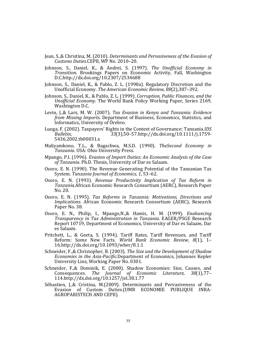- Jean, S.,& Christina, M. (2010). *Determinants and Pervasiveness of the Evasion of Customs Duties*.CEPII, WP No. 2010–20.
- Johnson, S., Daniel, K., & Andrei, S. (1997). *The Unofficial Economy in Transition*. Brookings Papers on Economic Activity, Fall, Washington D.C.http://dx.doi.org/10.2307/2534688
- Johnson, S., Daniel, K., & Pablo, Z. L. (1998a). Regulatory Discretion and the Unofficial Economy. *The American Economic Review, 88*(2),387–392.
- Johnson, S., Daniel, K., & Pablo, Z. L. (1999). *Corruption, Public Finances, and the Unofficial Economy.* The World Bank Policy Working Paper, Series 2169, Washington D.C.
- Levin, J.,& Lars, M. W. (2007). *Tax Evasion in Kenya and Tanzania: Evidence from Missing Imports.* Department of Business, Economics, Statistics, and Informatics, University of Örebro.
- Luoga, F. (2002). Taxpayers' Rights in the Context of Governance: Tanzania.*IDS Bulletin, 33*(3),50–57.http://dx.doi.org/10.1111/j.1759- 5436.2002.tb00031.x
- Maliyamkono, T.L., & Bagachwa, M.S.D. (1990). *TheSecond Economy in Tanzania*. USA: Ohio University Press.
- Mpango, P.I. (1996). *Evasion of Import Duties: An Economic Analysis of the Case of Tanzania*. Ph.D. Thesis, University of Dar es Salaam.
- Osoro, E. N. (1990). The Revenue Generating Potential of the Tanzanian Tax System. *Tanzania Journal of Economics, 1*, 53–62.
- Osoro, E. N. (1993). *Revenue Productivity Implication of Tax Reform in Tanzania.*African Economic Research Consortium (AERC), Research Paper No. 20.
- Osoro, E. N. (1995). *Tax Reforms in Tanzania: Motivations, Directions and Implications*. African Economic Research Consortium (AERC), Research Paper No. 38.
- Osoro, E. N., Philip, I., Mpango,N.,& Hamis, H. M. (1999). *Enahancing Transparency in Tax Administration in Tanzania*. EAGER/PSGE Research Report 10719, Department of Economics, University of Dar es Salaam, Dar es Salaam.
- Pritchett, L., & Geeta, S. (1994). Tariff Rates, Tariff Revenues, and Tariff Reform: Some New Facts. *World Bank Economic Review, 8*(1), 1– 16.http://dx.doi.org/10.1093/wber/8.1.1
- Schneider, F.,& Christopher, B. (2003). *The Size and the Development of Shadow Economies in the Asia-Pacific.*Department of Economics, Johannes Kepler University Linz, Working Paper No. 0301.
- Schneider, F.,& Dominik, E. (2000). Shadow Economies: Size, Causes, and Consequences. *The Journal of Economic Literature, 38*(1),77– 114.http://dx.doi.org/10.1257/jel.38.1.77
- Sébastien, J.,& Cristina, M.(2009). Determinants and Pervasiveness of the Evasion of Custom Duties.(UMR ECONOMIE PUBLIQUE INRA-AGROPARISTECH AND CEPII).